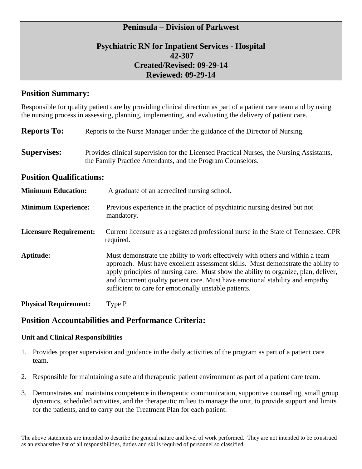## **Psychiatric RN for Inpatient Services - Hospital 42-307 Created/Revised: 09-29-14 Reviewed: 09-29-14**

## **Position Summary:**

Responsible for quality patient care by providing clinical direction as part of a patient care team and by using the nursing process in assessing, planning, implementing, and evaluating the delivery of patient care.

| <b>Reports To:</b>              | Reports to the Nurse Manager under the guidance of the Director of Nursing.                                                                                                                                                                                                                                                                                                                        |  |  |  |
|---------------------------------|----------------------------------------------------------------------------------------------------------------------------------------------------------------------------------------------------------------------------------------------------------------------------------------------------------------------------------------------------------------------------------------------------|--|--|--|
| <b>Supervises:</b>              | Provides clinical supervision for the Licensed Practical Nurses, the Nursing Assistants,<br>the Family Practice Attendants, and the Program Counselors.                                                                                                                                                                                                                                            |  |  |  |
| <b>Position Qualifications:</b> |                                                                                                                                                                                                                                                                                                                                                                                                    |  |  |  |
| <b>Minimum Education:</b>       | A graduate of an accredited nursing school.                                                                                                                                                                                                                                                                                                                                                        |  |  |  |
| <b>Minimum Experience:</b>      | Previous experience in the practice of psychiatric nursing desired but not<br>mandatory.                                                                                                                                                                                                                                                                                                           |  |  |  |
| <b>Licensure Requirement:</b>   | Current licensure as a registered professional nurse in the State of Tennessee. CPR<br>required.                                                                                                                                                                                                                                                                                                   |  |  |  |
| Aptitude:                       | Must demonstrate the ability to work effectively with others and within a team<br>approach. Must have excellent assessment skills. Must demonstrate the ability to<br>apply principles of nursing care. Must show the ability to organize, plan, deliver,<br>and document quality patient care. Must have emotional stability and empathy<br>sufficient to care for emotionally unstable patients. |  |  |  |
| <b>Physical Requirement:</b>    | Type P                                                                                                                                                                                                                                                                                                                                                                                             |  |  |  |

## **Position Accountabilities and Performance Criteria:**

#### **Unit and Clinical Responsibilities**

- 1. Provides proper supervision and guidance in the daily activities of the program as part of a patient care team.
- 2. Responsible for maintaining a safe and therapeutic patient environment as part of a patient care team.
- 3. Demonstrates and maintains competence in therapeutic communication, supportive counseling, small group dynamics, scheduled activities, and the therapeutic milieu to manage the unit, to provide support and limits for the patients, and to carry out the Treatment Plan for each patient.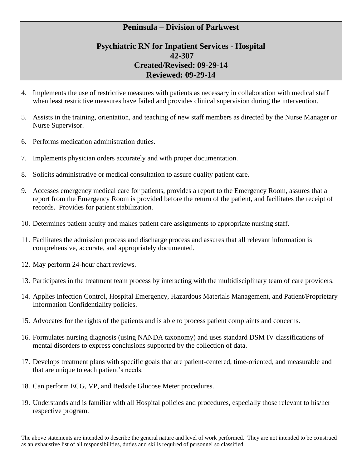## **Psychiatric RN for Inpatient Services - Hospital 42-307 Created/Revised: 09-29-14 Reviewed: 09-29-14**

- 4. Implements the use of restrictive measures with patients as necessary in collaboration with medical staff when least restrictive measures have failed and provides clinical supervision during the intervention.
- 5. Assists in the training, orientation, and teaching of new staff members as directed by the Nurse Manager or Nurse Supervisor.
- 6. Performs medication administration duties.
- 7. Implements physician orders accurately and with proper documentation.
- 8. Solicits administrative or medical consultation to assure quality patient care.
- 9. Accesses emergency medical care for patients, provides a report to the Emergency Room, assures that a report from the Emergency Room is provided before the return of the patient, and facilitates the receipt of records. Provides for patient stabilization.
- 10. Determines patient acuity and makes patient care assignments to appropriate nursing staff.
- 11. Facilitates the admission process and discharge process and assures that all relevant information is comprehensive, accurate, and appropriately documented.
- 12. May perform 24-hour chart reviews.
- 13. Participates in the treatment team process by interacting with the multidisciplinary team of care providers.
- 14. Applies Infection Control, Hospital Emergency, Hazardous Materials Management, and Patient/Proprietary Information Confidentiality policies.
- 15. Advocates for the rights of the patients and is able to process patient complaints and concerns.
- 16. Formulates nursing diagnosis (using NANDA taxonomy) and uses standard DSM IV classifications of mental disorders to express conclusions supported by the collection of data.
- 17. Develops treatment plans with specific goals that are patient-centered, time-oriented, and measurable and that are unique to each patient's needs.
- 18. Can perform ECG, VP, and Bedside Glucose Meter procedures.
- 19. Understands and is familiar with all Hospital policies and procedures, especially those relevant to his/her respective program.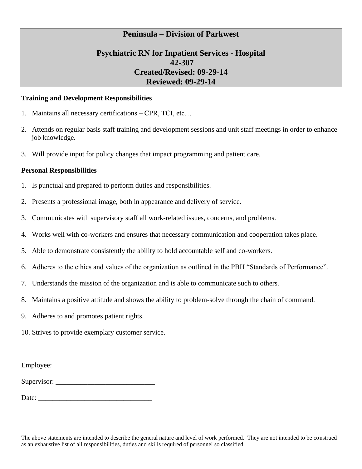## **Psychiatric RN for Inpatient Services - Hospital 42-307 Created/Revised: 09-29-14 Reviewed: 09-29-14**

#### **Training and Development Responsibilities**

- 1. Maintains all necessary certifications CPR, TCI, etc…
- 2. Attends on regular basis staff training and development sessions and unit staff meetings in order to enhance job knowledge.
- 3. Will provide input for policy changes that impact programming and patient care.

#### **Personal Responsibilities**

- 1. Is punctual and prepared to perform duties and responsibilities.
- 2. Presents a professional image, both in appearance and delivery of service.
- 3. Communicates with supervisory staff all work-related issues, concerns, and problems.
- 4. Works well with co-workers and ensures that necessary communication and cooperation takes place.
- 5. Able to demonstrate consistently the ability to hold accountable self and co-workers.
- 6. Adheres to the ethics and values of the organization as outlined in the PBH "Standards of Performance".
- 7. Understands the mission of the organization and is able to communicate such to others.
- 8. Maintains a positive attitude and shows the ability to problem-solve through the chain of command.
- 9. Adheres to and promotes patient rights.

10. Strives to provide exemplary customer service.

Employee:

Supervisor:

Date: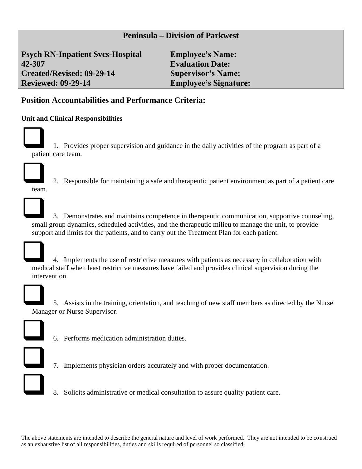**Psych RN-Inpatient Svcs-Hospital Employee's Name: 42-307 Evaluation Date: Created/Revised: 09-29-14 Supervisor's Name: Reviewed: 09-29-14 Employee's Signature:**

# **Position Accountabilities and Performance Criteria:**

#### **Unit and Clinical Responsibilities**



❑ 1. Provides proper supervision and guidance in the daily activities of the program as part of a patient care team.



❑ 2. Responsible for maintaining a safe and therapeutic patient environment as part of a patient care



❑ 3. Demonstrates and maintains competence in therapeutic communication, supportive counseling, small group dynamics, scheduled activities, and the therapeutic milieu to manage the unit, to provide support and limits for the patients, and to carry out the Treatment Plan for each patient.



❑ 4. Implements the use of restrictive measures with patients as necessary in collaboration with medical staff when least restrictive measures have failed and provides clinical supervision during the intervention.



❑ 5. Assists in the training, orientation, and teaching of new staff members as directed by the Nurse Manager or Nurse Supervisor.



❑ 6. Performs medication administration duties.



❑ 7. Implements physician orders accurately and with proper documentation.



❑ 8. Solicits administrative or medical consultation to assure quality patient care.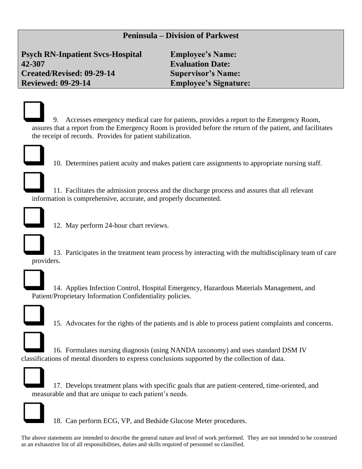**Psych RN-Inpatient Svcs-Hospital Employee's Name: 42-307 Evaluation Date: Created/Revised: 09-29-14 Supervisor's Name: Reviewed: 09-29-14 Employee's Signature:**

❑ 9. Accesses emergency medical care for patients, provides a report to the Emergency Room, assures that a report from the Emergency Room is provided before the return of the patient, and facilitates the receipt of records. Provides for patient stabilization.



❑ 10. Determines patient acuity and makes patient care assignments to appropriate nursing staff.

❑ 11. Facilitates the admission process and the discharge process and assures that all relevant information is comprehensive, accurate, and properly documented.



12. May perform 24-hour chart reviews.



❑ 13. Participates in the treatment team process by interacting with the multidisciplinary team of care providers.



❑ 14. Applies Infection Control, Hospital Emergency, Hazardous Materials Management, and Patient/Proprietary Information Confidentiality policies.



❑ 15. Advocates for the rights of the patients and is able to process patient complaints and concerns.



❑ 16. Formulates nursing diagnosis (using NANDA taxonomy) and uses standard DSM IV

classifications of mental disorders to express conclusions supported by the collection of data.





❑ 18. Can perform ECG, VP, and Bedside Glucose Meter procedures.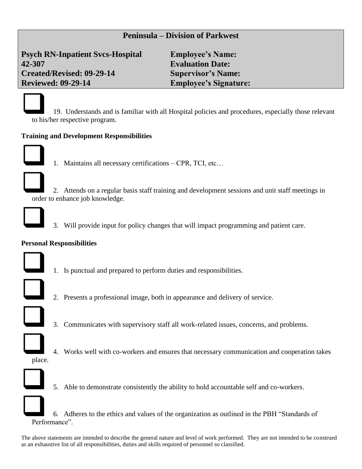**Psych RN-Inpatient Svcs-Hospital Employee's Name: 42-307 Evaluation Date: Created/Revised: 09-29-14 Supervisor's Name: Reviewed: 09-29-14 Employee's Signature:**

❑ 19. Understands and is familiar with all Hospital policies and procedures, especially those relevant to his/her respective program.

#### **Training and Development Responsibilities**



1. Maintains all necessary certifications – CPR, TCI, etc...



❑ 2. Attends on a regular basis staff training and development sessions and unit staff meetings in order to enhance job knowledge.



❑ 3. Will provide input for policy changes that will impact programming and patient care.

#### **Personal Responsibilities**



1. Is punctual and prepared to perform duties and responsibilities.



- ❑ 2. Presents a professional image, both in appearance and delivery of service.
- ❑ 3. Communicates with supervisory staff all work-related issues, concerns, and problems.



place.

❑ 4. Works well with co-workers and ensures that necessary communication and cooperation takes



5. Able to demonstrate consistently the ability to hold accountable self and co-workers.

❑ 6. Adheres to the ethics and values of the organization as outlined in the PBH "Standards of Performance".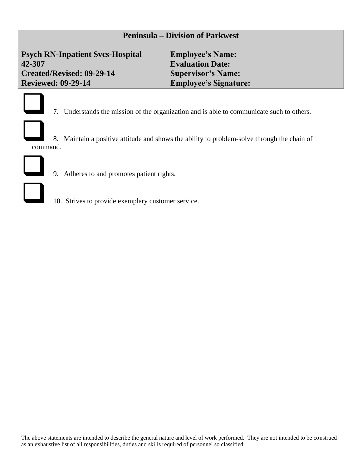**Psych RN-Inpatient Svcs-Hospital Employee's Name: 42-307 Evaluation Date: Created/Revised: 09-29-14 Supervisor's Name: Reviewed: 09-29-14 Employee's Signature:**



❑ 7. Understands the mission of the organization and is able to communicate such to others.

❑ 8. Maintain a positive attitude and shows the ability to problem-solve through the chain of command.



- ❑ 9. Adheres to and promotes patient rights.
- ❑ 10. Strives to provide exemplary customer service.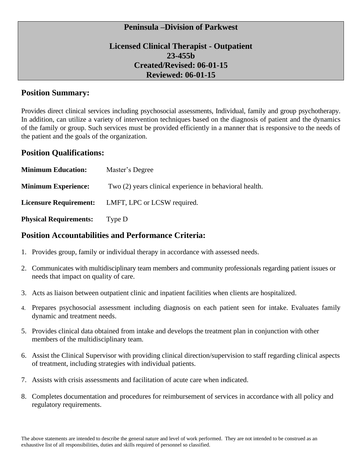## **Licensed Clinical Therapist - Outpatient 23-455b Created/Revised: 06-01-15 Reviewed: 06-01-15**

### **Position Summary:**

Provides direct clinical services including psychosocial assessments, Individual, family and group psychotherapy. In addition, can utilize a variety of intervention techniques based on the diagnosis of patient and the dynamics of the family or group. Such services must be provided efficiently in a manner that is responsive to the needs of the patient and the goals of the organization.

#### **Position Qualifications:**

| <b>Minimum Education:</b>     | Master's Degree                                         |
|-------------------------------|---------------------------------------------------------|
| <b>Minimum Experience:</b>    | Two (2) years clinical experience in behavioral health. |
| <b>Licensure Requirement:</b> | LMFT, LPC or LCSW required.                             |
| <b>Physical Requirements:</b> | Type D                                                  |

## **Position Accountabilities and Performance Criteria:**

- 1. Provides group, family or individual therapy in accordance with assessed needs.
- 2. Communicates with multidisciplinary team members and community professionals regarding patient issues or needs that impact on quality of care.
- 3. Acts as liaison between outpatient clinic and inpatient facilities when clients are hospitalized.
- 4. Prepares psychosocial assessment including diagnosis on each patient seen for intake. Evaluates family dynamic and treatment needs.
- 5. Provides clinical data obtained from intake and develops the treatment plan in conjunction with other members of the multidisciplinary team.
- 6. Assist the Clinical Supervisor with providing clinical direction/supervision to staff regarding clinical aspects of treatment, including strategies with individual patients.
- 7. Assists with crisis assessments and facilitation of acute care when indicated.
- 8. Completes documentation and procedures for reimbursement of services in accordance with all policy and regulatory requirements.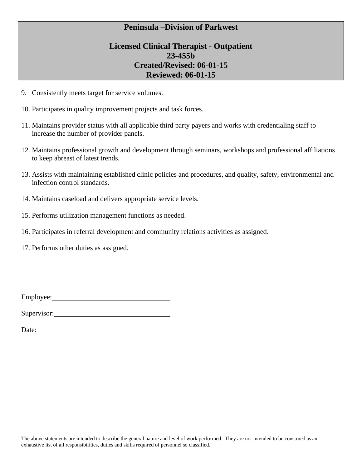## **Licensed Clinical Therapist - Outpatient 23-455b Created/Revised: 06-01-15 Reviewed: 06-01-15**

- 9. Consistently meets target for service volumes.
- 10. Participates in quality improvement projects and task forces.
- 11. Maintains provider status with all applicable third party payers and works with credentialing staff to increase the number of provider panels.
- 12. Maintains professional growth and development through seminars, workshops and professional affiliations to keep abreast of latest trends.
- 13. Assists with maintaining established clinic policies and procedures, and quality, safety, environmental and infection control standards.
- 14. Maintains caseload and delivers appropriate service levels.
- 15. Performs utilization management functions as needed.
- 16. Participates in referral development and community relations activities as assigned.

17. Performs other duties as assigned.

| Employee: |  |
|-----------|--|
|           |  |

Supervisor: Supervisor: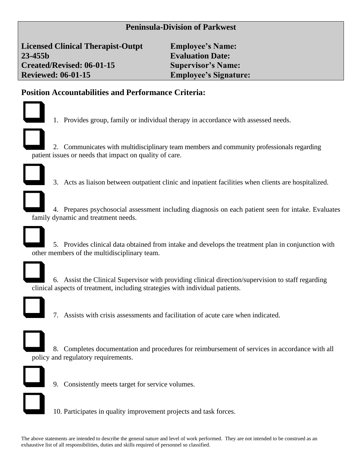**Licensed Clinical Therapist-Outpt Employee's Name: 23-455b Evaluation Date: Created/Revised: 06-01-15 Supervisor's Name: Reviewed: 06-01-15 Employee's Signature:**

## **Position Accountabilities and Performance Criteria:**



❑ 1. Provides group, family or individual therapy in accordance with assessed needs.

❑ 2. Communicates with multidisciplinary team members and community professionals regarding patient issues or needs that impact on quality of care.



❑ 3. Acts as liaison between outpatient clinic and inpatient facilities when clients are hospitalized.

❑ 4. Prepares psychosocial assessment including diagnosis on each patient seen for intake. Evaluates family dynamic and treatment needs.



❑ 5. Provides clinical data obtained from intake and develops the treatment plan in conjunction with other members of the multidisciplinary team.



❑ 6. Assist the Clinical Supervisor with providing clinical direction/supervision to staff regarding clinical aspects of treatment, including strategies with individual patients.



❑ 7. Assists with crisis assessments and facilitation of acute care when indicated.



❑ 8. Completes documentation and procedures for reimbursement of services in accordance with all policy and regulatory requirements.



❑ 9. Consistently meets target for service volumes.



❑ 10. Participates in quality improvement projects and task forces.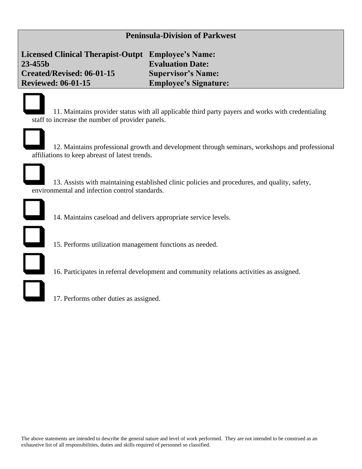**Licensed Clinical Therapist-Outpt Employee's Name: 23-455b Evaluation Date: Created/Revised: 06-01-15 Supervisor's Name: Reviewed: 06-01-15 Employee's Signature:**

❑ 11. Maintains provider status with all applicable third party payers and works with credentialing staff to increase the number of provider panels.



❑ 12. Maintains professional growth and development through seminars, workshops and professional affiliations to keep abreast of latest trends.

❑ 13. Assists with maintaining established clinic policies and procedures, and quality, safety, environmental and infection control standards.



❑ 14. Maintains caseload and delivers appropriate service levels.

- ❑ 15. Performs utilization management functions as needed.
- ❑ 16. Participates in referral development and community relations activities as assigned.
- ❑ 17. Performs other duties as assigned.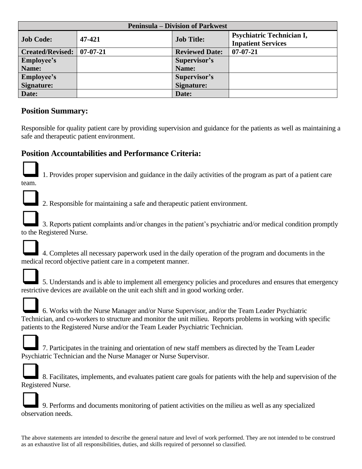| <b>Peninsula – Division of Parkwest</b> |                |                       |                                                               |  |
|-----------------------------------------|----------------|-----------------------|---------------------------------------------------------------|--|
| <b>Job Code:</b>                        | 47-421         | <b>Job Title:</b>     | <b>Psychiatric Technician I,</b><br><b>Inpatient Services</b> |  |
| Created/Revised:                        | $07 - 07 - 21$ | <b>Reviewed Date:</b> | $07 - 07 - 21$                                                |  |
| <b>Employee's</b>                       |                | Supervisor's          |                                                               |  |
| Name:                                   |                | Name:                 |                                                               |  |
| <b>Employee's</b>                       |                | Supervisor's          |                                                               |  |
| <b>Signature:</b>                       |                | Signature:            |                                                               |  |
| Date:                                   |                | Date:                 |                                                               |  |

# **Position Summary:**

Responsible for quality patient care by providing supervision and guidance for the patients as well as maintaining a safe and therapeutic patient environment.

# **Position Accountabilities and Performance Criteria:**



team.

❑1. Provides proper supervision and guidance in the daily activities of the program as part of a patient care



❑2. Responsible for maintaining a safe and therapeutic patient environment.

❑3. Reports patient complaints and/or changes in the patient's psychiatric and/or medical condition promptly to the Registered Nurse.





❑5. Understands and is able to implement all emergency policies and procedures and ensures that emergency restrictive devices are available on the unit each shift and in good working order.



❑6. Works with the Nurse Manager and/or Nurse Supervisor, and/or the Team Leader Psychiatric Technician, and co-workers to structure and monitor the unit milieu. Reports problems in working with specific patients to the Registered Nurse and/or the Team Leader Psychiatric Technician.



❑7. Participates in the training and orientation of new staff members as directed by the Team Leader Psychiatric Technician and the Nurse Manager or Nurse Supervisor.



❑8. Facilitates, implements, and evaluates patient care goals for patients with the help and supervision of the Registered Nurse.



❑9. Performs and documents monitoring of patient activities on the milieu as well as any specialized observation needs.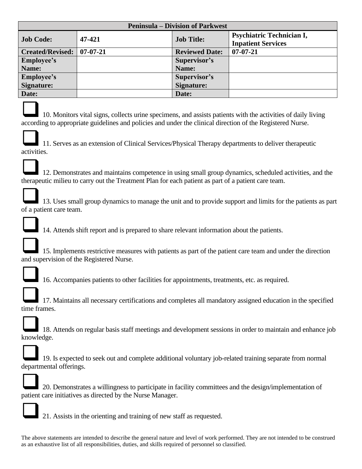| <b>Peninsula – Division of Parkwest</b> |                |                       |                                                               |  |  |
|-----------------------------------------|----------------|-----------------------|---------------------------------------------------------------|--|--|
| <b>Job Code:</b>                        | 47-421         | <b>Job Title:</b>     | <b>Psychiatric Technician I,</b><br><b>Inpatient Services</b> |  |  |
| <b>Created/Revised:</b>                 | $07 - 07 - 21$ | <b>Reviewed Date:</b> | $07 - 07 - 21$                                                |  |  |
| <b>Employee's</b>                       |                | Supervisor's          |                                                               |  |  |
| Name:                                   |                | Name:                 |                                                               |  |  |
| <b>Employee's</b>                       |                | Supervisor's          |                                                               |  |  |
| Signature:                              |                | Signature:            |                                                               |  |  |
| Date:                                   |                | Date:                 |                                                               |  |  |



❑10. Monitors vital signs, collects urine specimens, and assists patients with the activities of daily living according to appropriate guidelines and policies and under the clinical direction of the Registered Nurse.



❑12. Demonstrates and maintains competence in using small group dynamics, scheduled activities, and the therapeutic milieu to carry out the Treatment Plan for each patient as part of a patient care team.

❑13. Uses small group dynamics to manage the unit and to provide support and limits for the patients as part of a patient care team.



❑14. Attends shift report and is prepared to share relevant information about the patients.

|  | 15. Implements restrictive measures with patients as part of the patient care team and under the direction |
|--|------------------------------------------------------------------------------------------------------------|
|  | and supervision of the Registered Nurse.                                                                   |



❑16. Accompanies patients to other facilities for appointments, treatments, etc. as required.

|  | 17. Maintains all necessary certifications and completes all mandatory assigned education in the specified |
|--|------------------------------------------------------------------------------------------------------------|
|  | time frames.                                                                                               |



19. Is expected to seek out and complete additional voluntary job-related training separate from normal departmental offerings.



❑20. Demonstrates a willingness to participate in facility committees and the design/implementation of patient care initiatives as directed by the Nurse Manager.



❑21. Assists in the orienting and training of new staff as requested.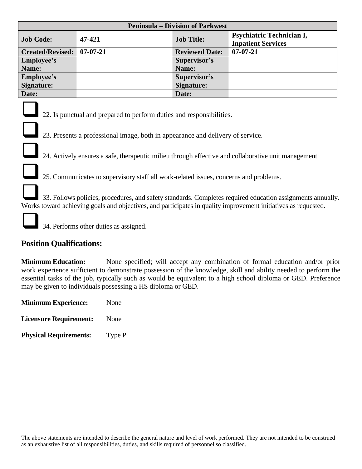| <b>Peninsula – Division of Parkwest</b> |            |                       |                                                               |  |  |
|-----------------------------------------|------------|-----------------------|---------------------------------------------------------------|--|--|
| <b>Job Code:</b>                        | 47-421     | <b>Job Title:</b>     | <b>Psychiatric Technician I,</b><br><b>Inpatient Services</b> |  |  |
| <b>Created/Revised:</b>                 | $07-07-21$ | <b>Reviewed Date:</b> | $07 - 07 - 21$                                                |  |  |
| <b>Employee's</b>                       |            | Supervisor's          |                                                               |  |  |
| Name:                                   |            | Name:                 |                                                               |  |  |
| <b>Employee's</b>                       |            | Supervisor's          |                                                               |  |  |
| Signature:                              |            | Signature:            |                                                               |  |  |
| Date:                                   |            | Date:                 |                                                               |  |  |



22. Is punctual and prepared to perform duties and responsibilities.

23. Presents a professional image, both in appearance and delivery of service.

24. Actively ensures a safe, therapeutic milieu through effective and collaborative unit management

25. Communicates to supervisory staff all work-related issues, concerns and problems.

❑33. Follows policies, procedures, and safety standards. Completes required education assignments annually. Works toward achieving goals and objectives, and participates in quality improvement initiatives as requested.

❑34. Performs other duties as assigned.

## **Position Qualifications:**

**Minimum Education:** None specified; will accept any combination of formal education and/or prior work experience sufficient to demonstrate possession of the knowledge, skill and ability needed to perform the essential tasks of the job, typically such as would be equivalent to a high school diploma or GED. Preference may be given to individuals possessing a HS diploma or GED.

| <b>Minimum Experience:</b> | None |
|----------------------------|------|
|                            |      |

**Licensure Requirement:** None

**Physical Requirements:** Type P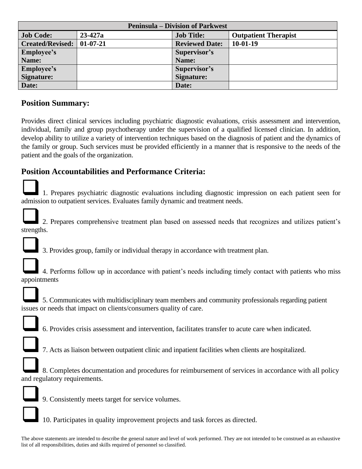| <b>Peninsula – Division of Parkwest</b> |             |                       |                             |  |
|-----------------------------------------|-------------|-----------------------|-----------------------------|--|
| <b>Job Code:</b>                        | $23 - 427a$ | <b>Job Title:</b>     | <b>Outpatient Therapist</b> |  |
| <b>Created/Revised:</b>                 | $01-07-21$  | <b>Reviewed Date:</b> | $10-01-19$                  |  |
| <b>Employee's</b>                       |             | Supervisor's          |                             |  |
| Name:                                   |             | Name:                 |                             |  |
| <b>Employee's</b>                       |             | Supervisor's          |                             |  |
| Signature:                              |             | Signature:            |                             |  |
| Date:                                   |             | Date:                 |                             |  |

## **Position Summary:**

Provides direct clinical services including psychiatric diagnostic evaluations, crisis assessment and intervention, individual, family and group psychotherapy under the supervision of a qualified licensed clinician. In addition, develop ability to utilize a variety of intervention techniques based on the diagnosis of patient and the dynamics of the family or group. Such services must be provided efficiently in a manner that is responsive to the needs of the patient and the goals of the organization.

# **Position Accountabilities and Performance Criteria:**

❑1. Prepares psychiatric diagnostic evaluations including diagnostic impression on each patient seen for admission to outpatient services. Evaluates family dynamic and treatment needs.



❑2. Prepares comprehensive treatment plan based on assessed needs that recognizes and utilizes patient's strengths.



❑3. Provides group, family or individual therapy in accordance with treatment plan.



❑4. Performs follow up in accordance with patient's needs including timely contact with patients who miss appointments

❑5. Communicates with multidisciplinary team members and community professionals regarding patient issues or needs that impact on clients/consumers quality of care.



❑6. Provides crisis assessment and intervention, facilitates transfer to acute care when indicated.



❑7. Acts as liaison between outpatient clinic and inpatient facilities when clients are hospitalized.

❑8. Completes documentation and procedures for reimbursement of services in accordance with all policy and regulatory requirements.



❑9. Consistently meets target for service volumes.

❑10. Participates in quality improvement projects and task forces as directed.